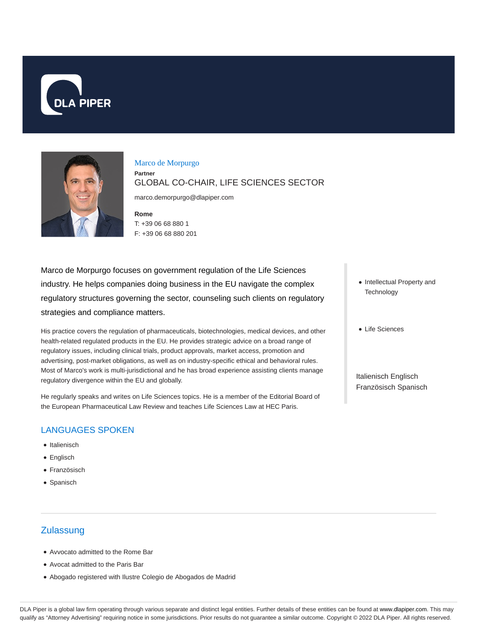



### Marco de Morpurgo

**Partner**

GLOBAL CO-CHAIR, LIFE SCIENCES SECTOR

marco.demorpurgo@dlapiper.com

**Rome** T: +39 06 68 880 1 F: +39 06 68 880 201

Marco de Morpurgo focuses on government regulation of the Life Sciences industry. He helps companies doing business in the EU navigate the complex regulatory structures governing the sector, counseling such clients on regulatory strategies and compliance matters.

His practice covers the regulation of pharmaceuticals, biotechnologies, medical devices, and other health-related regulated products in the EU. He provides strategic advice on a broad range of regulatory issues, including clinical trials, product approvals, market access, promotion and advertising, post-market obligations, as well as on industry-specific ethical and behavioral rules. Most of Marco's work is multi-jurisdictional and he has broad experience assisting clients manage regulatory divergence within the EU and globally.

He regularly speaks and writes on Life Sciences topics. He is a member of the Editorial Board of the European Pharmaceutical Law Review and teaches Life Sciences Law at HEC Paris.

## LANGUAGES SPOKEN

- Italienisch
- Englisch
- Französisch
- Spanisch

# **Zulassung**

- Avvocato admitted to the Rome Bar
- Avocat admitted to the Paris Bar
- Abogado registered with Ilustre Colegio de Abogados de Madrid
- Intellectual Property and **Technology**
- Life Sciences

Italienisch Englisch Französisch Spanisch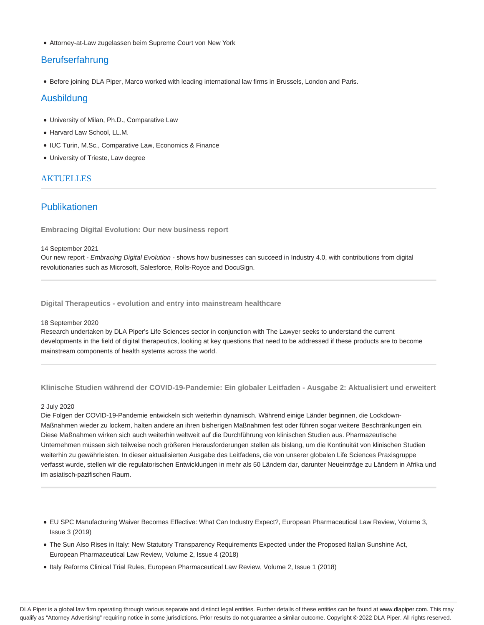Attorney-at-Law zugelassen beim Supreme Court von New York

## **Berufserfahrung**

Before joining DLA Piper, Marco worked with leading international law firms in Brussels, London and Paris.

### Ausbildung

- University of Milan, Ph.D., Comparative Law
- Harvard Law School, LL.M.
- IUC Turin, M.Sc., Comparative Law, Economics & Finance
- University of Trieste, Law degree

### **AKTUELLES**

## Publikationen

**Embracing Digital Evolution: Our new business report**

#### 14 September 2021

Our new report - Embracing Digital Evolution - shows how businesses can succeed in Industry 4.0, with contributions from digital revolutionaries such as Microsoft, Salesforce, Rolls-Royce and DocuSign.

**Digital Therapeutics - evolution and entry into mainstream healthcare**

#### 18 September 2020

Research undertaken by DLA Piper's Life Sciences sector in conjunction with The Lawyer seeks to understand the current developments in the field of digital therapeutics, looking at key questions that need to be addressed if these products are to become mainstream components of health systems across the world.

```
Klinische Studien während der COVID-19-Pandemie: Ein globaler Leitfaden - Ausgabe 2: Aktualisiert und erweitert
```
#### 2 July 2020

Die Folgen der COVID-19-Pandemie entwickeln sich weiterhin dynamisch. Während einige Länder beginnen, die Lockdown-Maßnahmen wieder zu lockern, halten andere an ihren bisherigen Maßnahmen fest oder führen sogar weitere Beschränkungen ein. Diese Maßnahmen wirken sich auch weiterhin weltweit auf die Durchführung von klinischen Studien aus. Pharmazeutische Unternehmen müssen sich teilweise noch größeren Herausforderungen stellen als bislang, um die Kontinuität von klinischen Studien weiterhin zu gewährleisten. In dieser aktualisierten Ausgabe des Leitfadens, die von unserer globalen Life Sciences Praxisgruppe verfasst wurde, stellen wir die regulatorischen Entwicklungen in mehr als 50 Ländern dar, darunter Neueinträge zu Ländern in Afrika und im asiatisch-pazifischen Raum.

- EU SPC Manufacturing Waiver Becomes Effective: What Can Industry Expect?, European Pharmaceutical Law Review, Volume 3, Issue 3 (2019)
- The Sun Also Rises in Italy: New Statutory Transparency Requirements Expected under the Proposed Italian Sunshine Act, European Pharmaceutical Law Review, Volume 2, Issue 4 (2018)
- Italy Reforms Clinical Trial Rules, European Pharmaceutical Law Review, Volume 2, Issue 1 (2018)